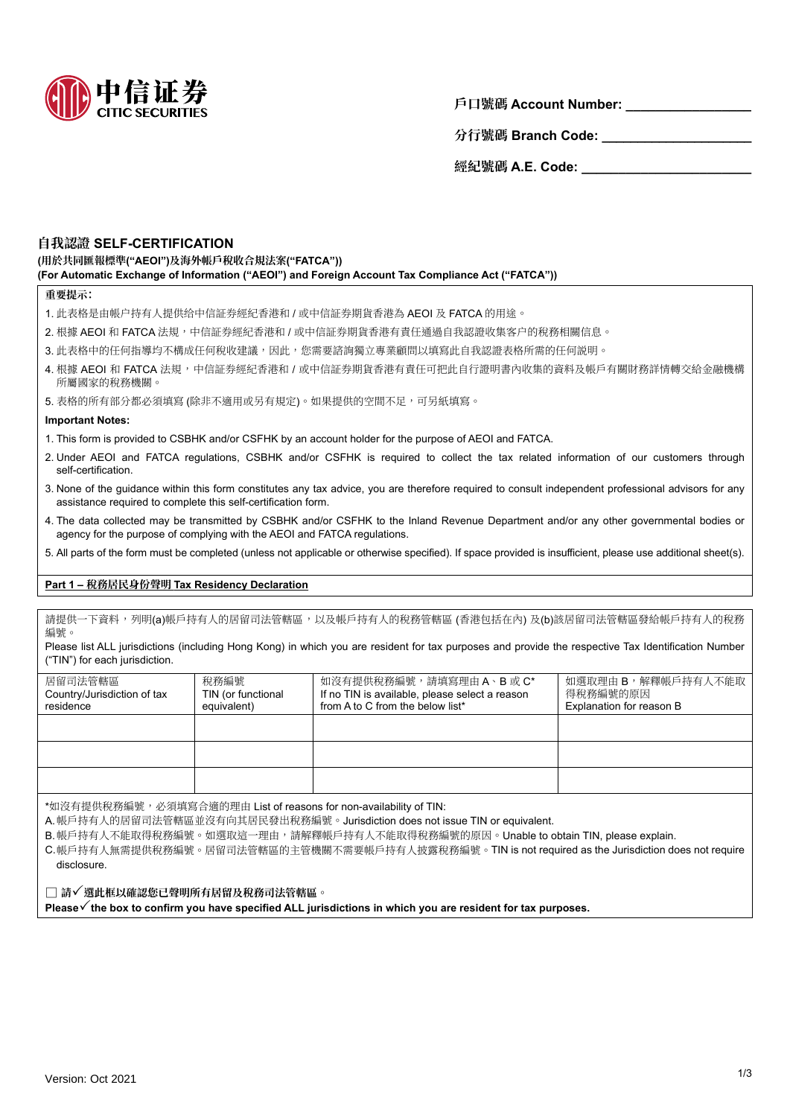

**戶口號碼 Account Number: \_\_\_\_\_\_\_\_\_\_\_\_\_\_\_\_\_**

分行號碼 Branch Code: \_\_\_\_\_\_\_\_\_\_\_\_\_\_\_\_\_\_

**經紀號碼 A.E. Code: \_\_\_\_\_\_\_\_\_\_\_\_\_\_\_\_\_\_\_\_\_\_\_**

# **自我認證 SELF-CERTIFICATION**

**(用於共同匯報標準("AEOI")及海外帳戶稅收合規法案("FATCA")) (For Automatic Exchange of Information ("AEOI") and Foreign Account Tax Compliance Act ("FATCA"))**

#### **重要提示:**

- 1. 此表格是由帳户持有人提供给中信証券經紀香港和 / 或中信証券期貨香港為 AEOI 及 FATCA 的用途 。
- 2. 根據 AEOI 和 FATCA 法規 , 中信証券經紀香港和 / 或中信証券期貨香港有責任通過自我認證收集客户的稅務相關信息 。
- 3. 此表格中的任何指導均不構成任何稅收建議 , 因此 , 您需要諮詢獨立專業顧問以填寫此自我認證表格所需的任何説明 。
- 4. 根據 AEOI 和 FATCA 法規,中信証券經紀香港和 / 或中信証券期貨香港有責任可把此自行證明書內收集的資料及帳戶有關財務詳情轉交給金融機構 所屬國家的稅務機關 。
- 5. 表格的所有部分都必須填寫 (除非不適用或另有規定) 。 如果提供的空間不足 , 可另紙填寫 。

### **Important Notes:**

- 1. This form is provided to CSBHK and/or CSFHK by an account holder for the purpose of AEOI and FATCA.
- 2. Under AEOI and FATCA regulations, CSBHK and/or CSFHK is required to collect the tax related information of our customers through self-certification.
- 3. None of the guidance within this form constitutes any tax advice, you are therefore required to consult independent professional advisors for any assistance required to complete this self-certification form.
- 4. The data collected may be transmitted by CSBHK and/or CSFHK to the Inland Revenue Department and/or any other governmental bodies or agency for the purpose of complying with the AEOI and FATCA regulations.
- 5. All parts of the form must be completed (unless not applicable or otherwise specified). If space provided is insufficient, please use additional sheet(s).

## **Part 1 – 稅務居民身份聲明 Tax Residency Declaration**

請提供一下資料,列明(a)帳戶持有人的居留司法管轄區,以及帳戶持有人的稅務管轄區 (香港包括在內) 及(b)該居留司法管轄區發給帳戶持有人的稅務 編號 。

Please list ALL jurisdictions (including Hong Kong) in which you are resident for tax purposes and provide the respective Tax Identification Number ("TIN") for each jurisdiction.

| 居留司法管轄區<br>Country/Jurisdiction of tax<br>residence | 稅務編號<br>TIN (or functional<br>equivalent) | 如沒有提供稅務編號,請填寫理由 A、B 或 C*<br>If no TIN is available, please select a reason<br>from A to C from the below list* | 如選取理由 B,解釋帳戶持有人不能取<br>得稅務編號的原因<br>Explanation for reason B |
|-----------------------------------------------------|-------------------------------------------|----------------------------------------------------------------------------------------------------------------|------------------------------------------------------------|
|                                                     |                                           |                                                                                                                |                                                            |
|                                                     |                                           |                                                                                                                |                                                            |
|                                                     |                                           |                                                                                                                |                                                            |
|                                                     |                                           |                                                                                                                |                                                            |

\*如沒有提供稅務編號 , 必須填寫合適的理由 List of reasons for non-availability of TIN:

A. 帳戶持有人的居留司法管轄區並沒有向其居民發出稅務編號 。 Jurisdiction does not issue TIN or equivalent.

B. 帳戶持有人不能取得稅務編號 。 如選取這一理由 , 請解釋帳戶持有人不能取得稅務編號的原因 。 Unable to obtain TIN, please explain.

C. 帳戶持有人無需提供稅務編號 。 居留司法管轄區的主管機關不需要帳戶持有人披露稅務編號 。 TIN is not required as the Jurisdiction does not require disclosure.

□ **請選此框以確認您已聲明所有居留及稅務司法管轄區 。**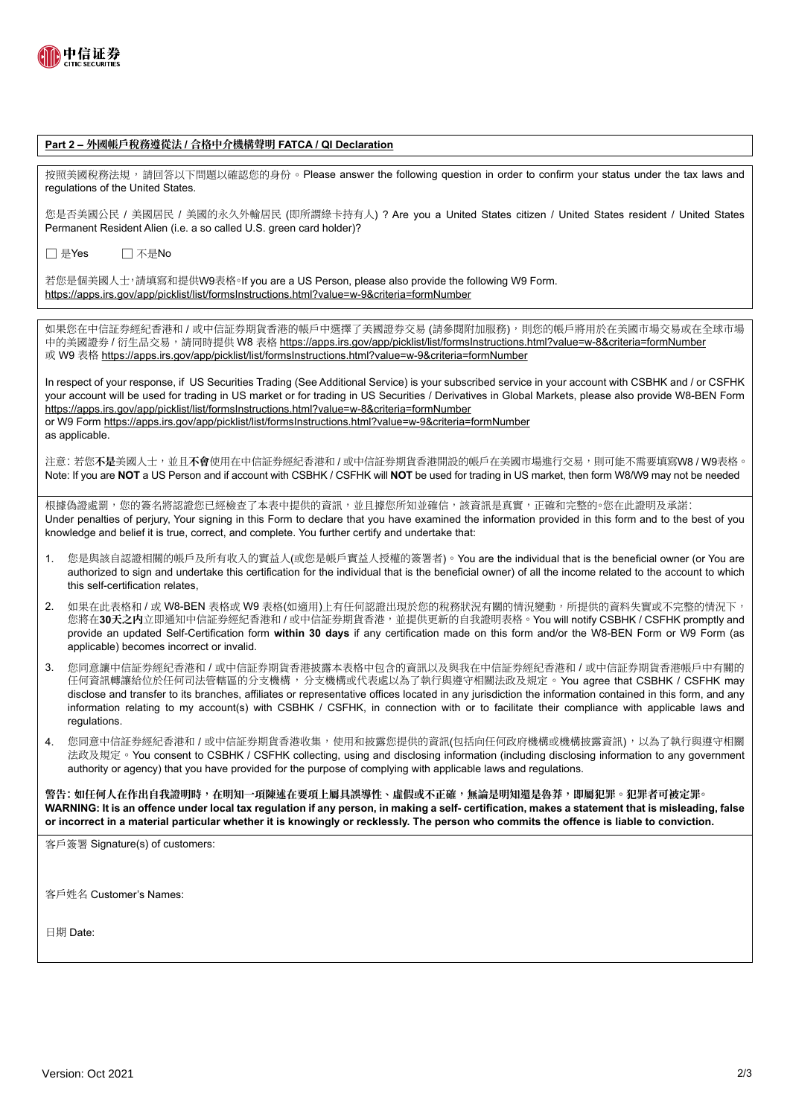

#### **Part 2 – 外國帳戶稅務遵從法 / 合格中介機構聲明 FATCA / QI Declaration**

按照美國稅務法規, 請回答以下問題以確認您的身份。 Please answer the following question in order to confirm your status under the tax laws and regulations of the United States.

您是否美國公民 / 美國居民 / 美國的永久外輸居民 (即所謂綠卡持有人) ? Are you a United States citizen / United States resident / United States Permanent Resident Alien (i.e. a so called U.S. green card holder)?

□ 是Yes □ 不是No

若您是個美國人士,請填寫和提供W9表格。If you are a US Person, please also provide the following W9 Form. https://apps.irs.gov/app/picklist/list/formsInstructions.html?value=w-9&criteria=formNumber

如果您在中信証券經紀香港和 / 或中信証券期貨香港的帳戶中選擇了美國證券交易 (請參閱附加服務), 則您的帳戶將用於在美國市場交易或在全球市場 中的美國證券 / 衍生品交易, 請同時提供 W8 表格 https://apps.irs.gov/app/picklist/list/formsInstructions.html?value=w-8&criteria=formNumber 或 W9 表格 https://apps.irs.gov/app/picklist/list/formsInstructions.html?value=w-9&criteria=formNumber

In respect of your response, if US Securities Trading (See Additional Service) is your subscribed service in your account with CSBHK and / or CSFHK your account will be used for trading in US market or for trading in US Securities / Derivatives in Global Markets, please also provide W8-BEN Form https://apps.irs.gov/app/picklist/list/formsInstructions.html?value=w-8&criteria=formNumber or W9 Form https://apps.irs.gov/app/picklist/list/formsInstructions.html?value=w-9&criteria=formNumber as applicable.

注意: 若您**不是**美國人士 , 並且**不會**使用在中信証券經紀香港和 / 或中信証券期貨香港開設的帳戶在美國市場進行交易 , 則可能不需要填寫W8 / W9表格 。 Note: If you are **NOT** a US Person and if account with CSBHK / CSFHK will **NOT** be used for trading in US market, then form W8/W9 may not be needed

根據偽證處罰,您的簽名將認證您已經檢查了本表中提供的資訊,並且據您所知並確信,該資訊是真實,正確和完整的。您在此證明及承諾: Under penalties of perjury, Your signing in this Form to declare that you have examined the information provided in this form and to the best of you knowledge and belief it is true, correct, and complete. You further certify and undertake that:

- 1. 您是與該自認證相關的帳戶及所有收入的實益人(或您是帳戶實益人授權的簽署者) 。 You are the individual that is the beneficial owner (or You are authorized to sign and undertake this certification for the individual that is the beneficial owner) of all the income related to the account to which this self-certification relates,
- 2. 如果在此表格和 / 或 W8-BEN 表格改 W9 表格(如適用)上有任何認證出現於您的稅務狀況有關的情況變動, 所提供的資料失實或不完整的情況下, 您將在**30天之内**立即通知中信証券經紀香港和 / 或中信証券期貨香港 , 並提供更新的自我證明表格 。 You will notify CSBHK / CSFHK promptly and provide an updated Self-Certification form **within 30 days** if any certification made on this form and/or the W8-BEN Form or W9 Form (as applicable) becomes incorrect or invalid.
- 3. 您同意讓中信証券經紀香港和 / 或中信証券期貨香港披露本表格中包含的資訊以及與我在中信証券經紀香港和 / 或中信証券期貨香港帳戶中有關的 任何資訊轉讓給位於任何司法管轄區的分支機構 , 分支機構或代表處以為了執行與遵守相關法政及規定 。 You agree that CSBHK / CSFHK may disclose and transfer to its branches, affiliates or representative offices located in any jurisdiction the information contained in this form, and any information relating to my account(s) with CSBHK / CSFHK, in connection with or to facilitate their compliance with applicable laws and regulations.
- 4. 您同意中信証券經紀香港和 / 或中信証券期貨香港收集 , 使用和披露您提供的資訊(包括向任何政府機構或機構披露資訊) , 以為了執行與遵守相關 法政及規定 。 You consent to CSBHK / CSFHK collecting, using and disclosing information (including disclosing information to any government authority or agency) that you have provided for the purpose of complying with applicable laws and regulations.

警告: 如任何人在作出自我證明時,在明知一項陳述在要項上屬具誤導性、虛假或不正確,無論是明知還是魯莽,即屬犯罪。犯罪者可被定罪。 **WARNING: It is an offence under local tax regulation if any person, in making a self- certification, makes a statement that is misleading, false or incorrect in a material particular whether it is knowingly or recklessly. The person who commits the offence is liable to conviction.**

客戶簽署 Signature(s) of customers:

客戶姓名 Customer's Names:

日期 Date: